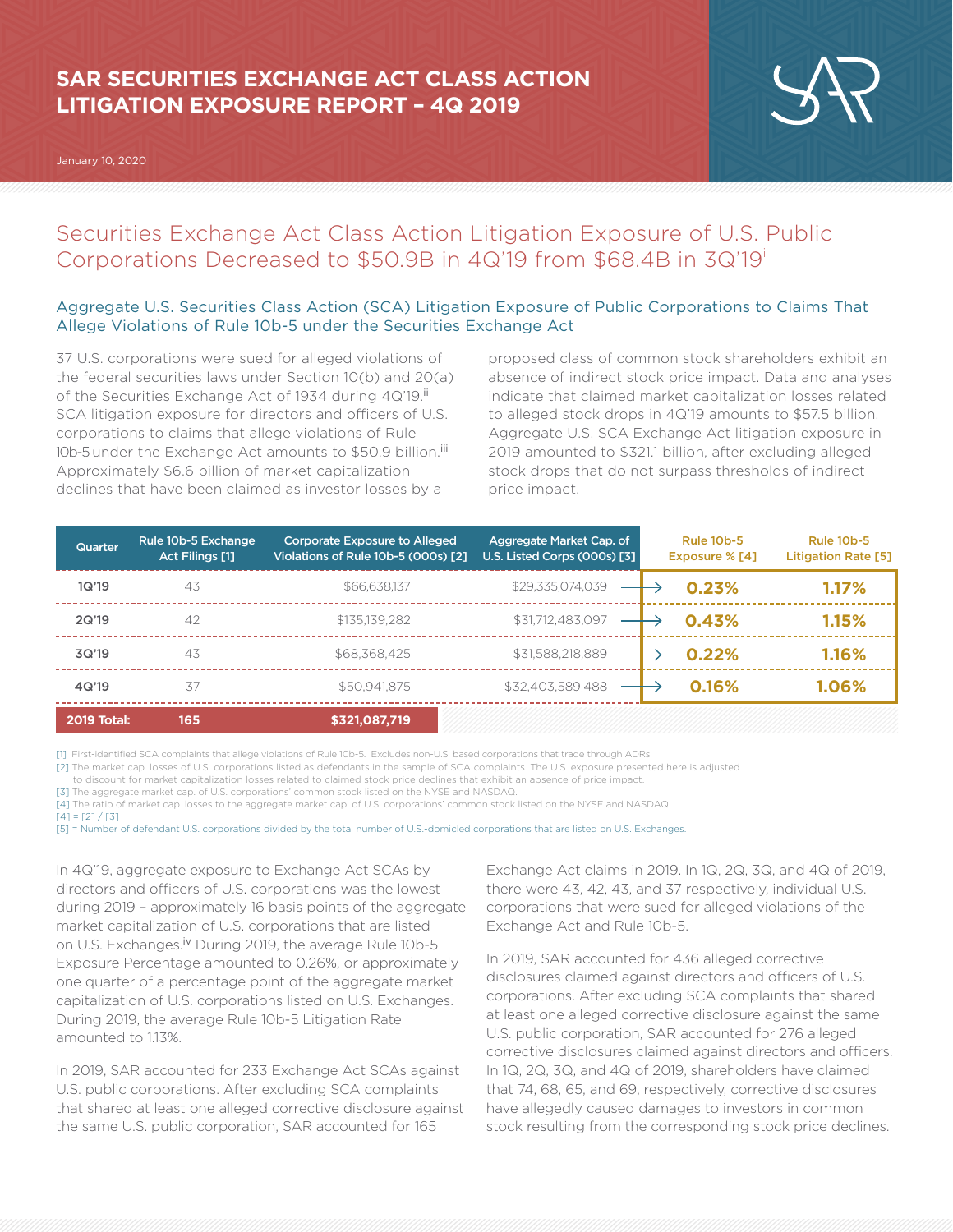# **SAR SECURITIES EXCHANGE ACT CLASS ACTION LITIGATION EXPOSURE REPORT – 4Q 2019**

January 10, 2020



## Securities Exchange Act Class Action Litigation Exposure of U.S. Public Corporations Decreased to \$50.9B in 4Q'19 from \$68.4B in 3Q'19i

### Aggregate U.S. Securities Class Action (SCA) Litigation Exposure of Public Corporations to Claims That Allege Violations of Rule 10b-5 under the Securities Exchange Act

37 U.S. corporations were sued for alleged violations of the federal securities laws under Section 10(b) and 20(a) of the Securities Exchange Act of 1934 during 4Q'19.<sup>ii</sup> SCA litigation exposure for directors and officers of U.S. corporations to claims that allege violations of Rule 10b-5 under the Exchange Act amounts to \$50.9 billion.<sup>iii</sup> Approximately \$6.6 billion of market capitalization declines that have been claimed as investor losses by a

proposed class of common stock shareholders exhibit an absence of indirect stock price impact. Data and analyses indicate that claimed market capitalization losses related to alleged stock drops in 4Q'19 amounts to \$57.5 billion. Aggregate U.S. SCA Exchange Act litigation exposure in 2019 amounted to \$321.1 billion, after excluding alleged stock drops that do not surpass thresholds of indirect price impact.

| Quarter            | Rule 10b-5 Exchange<br><b>Act Filings [1]</b> | <b>Corporate Exposure to Alleged</b><br>Violations of Rule 10b-5 (000s) [2] | Aggregate Market Cap. of<br>U.S. Listed Corps (000s) [3] | <b>Rule 10b-5</b><br>Exposure % [4] | <b>Rule 10b-5</b><br><b>Litigation Rate [5]</b> |
|--------------------|-----------------------------------------------|-----------------------------------------------------------------------------|----------------------------------------------------------|-------------------------------------|-------------------------------------------------|
| 1Q'19              | 43                                            | \$66,638,137                                                                | \$29,335,074,039                                         | 0.23%                               | 1.17%                                           |
| 2Q'19              | 42                                            | \$135,139,282                                                               | \$31,712,483,097                                         | 0.43%                               | 1.15%                                           |
| 3Q'19              | 43                                            | \$68,368,425                                                                | \$31,588,218,889                                         | 0.22%                               | 1.16%                                           |
| 4Q'19              | 37                                            | \$50.941.875                                                                | \$32.403.589.488                                         | 0.16%                               | 1.06%                                           |
| <b>2019 Total:</b> | 165                                           | \$321,087,719                                                               |                                                          |                                     |                                                 |

[1] First-identified SCA complaints that allege violations of Rule 10b-5. Excludes non-U.S. based corporations that trade through ADRs.

[2] The market cap. losses of U.S. corporations listed as defendants in the sample of SCA complaints. The U.S. exposure presented here is adjusted

to discount for market capitalization losses related to claimed stock price declines that exhibit an absence of price impact.

[3] The aggregate market cap. of U.S. corporations' common stock listed on the NYSE and NASDAQ.

[4] The ratio of market cap. losses to the aggregate market cap. of U.S. corporations' common stock listed on the NYSE and NASDAQ.

 $[4] = [2]/[3]$ 

[5] = Number of defendant U.S. corporations divided by the total number of U.S.-domicled corporations that are listed on U.S. Exchanges.

In 4Q'19, aggregate exposure to Exchange Act SCAs by directors and officers of U.S. corporations was the lowest during 2019 – approximately 16 basis points of the aggregate market capitalization of U.S. corporations that are listed on U.S. Exchanges.<sup>iv</sup> During 2019, the average Rule 10b-5 Exposure Percentage amounted to 0.26%, or approximately one quarter of a percentage point of the aggregate market capitalization of U.S. corporations listed on U.S. Exchanges. During 2019, the average Rule 10b-5 Litigation Rate amounted to 1.13%.

In 2019, SAR accounted for 233 Exchange Act SCAs against U.S. public corporations. After excluding SCA complaints that shared at least one alleged corrective disclosure against the same U.S. public corporation, SAR accounted for 165

Exchange Act claims in 2019. In 1Q, 2Q, 3Q, and 4Q of 2019, there were 43, 42, 43, and 37 respectively, individual U.S. corporations that were sued for alleged violations of the Exchange Act and Rule 10b-5.

In 2019, SAR accounted for 436 alleged corrective disclosures claimed against directors and officers of U.S. corporations. After excluding SCA complaints that shared at least one alleged corrective disclosure against the same U.S. public corporation, SAR accounted for 276 alleged corrective disclosures claimed against directors and officers. In 1Q, 2Q, 3Q, and 4Q of 2019, shareholders have claimed that 74, 68, 65, and 69, respectively, corrective disclosures have allegedly caused damages to investors in common stock resulting from the corresponding stock price declines.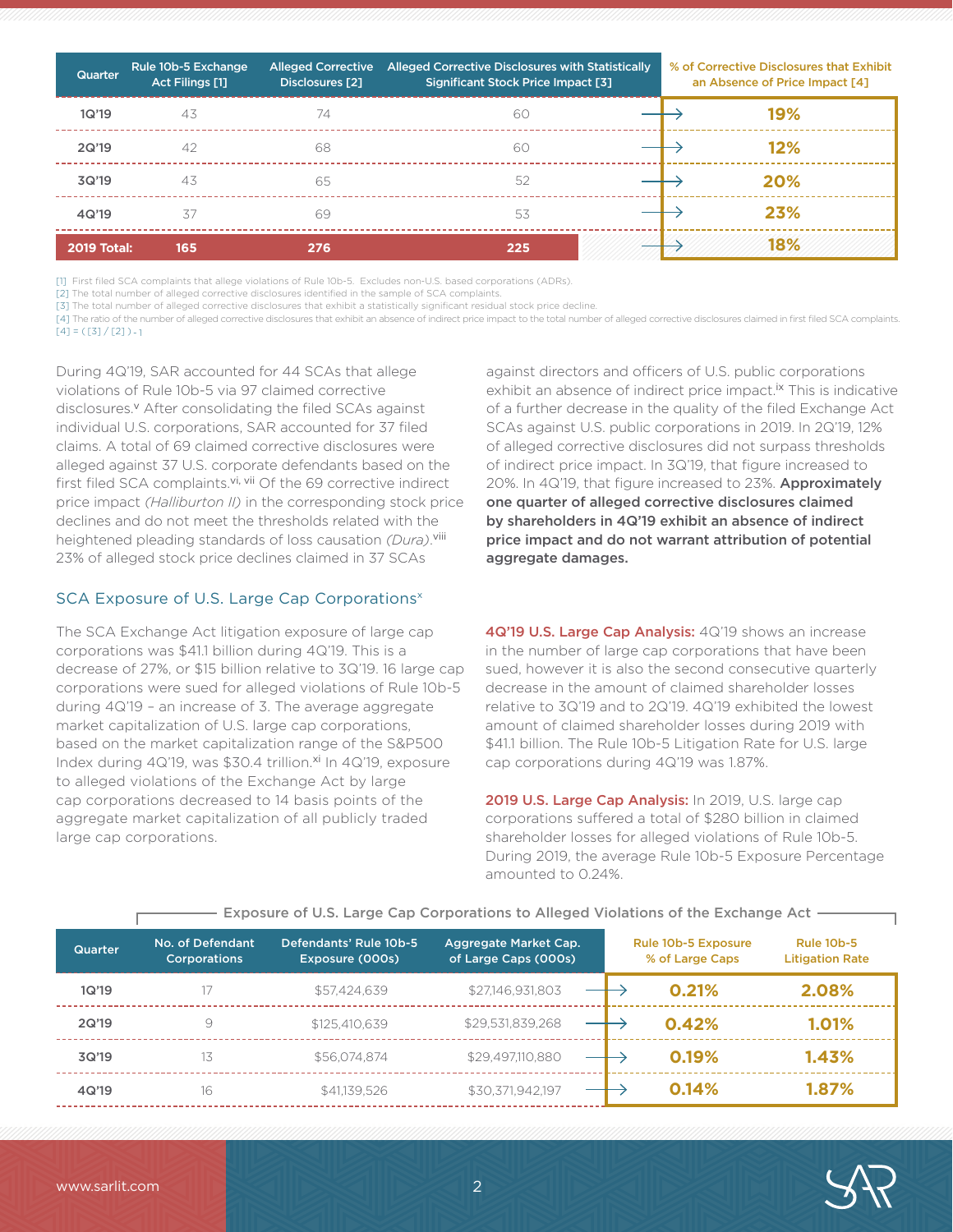| Quarter            | Rule 10b-5 Exchange<br>Act Filings [1] | <b>Alleged Corrective</b><br>Disclosures [2] | Alleged Corrective Disclosures with Statistically<br><b>Significant Stock Price Impact [3]</b> | % of Corrective Disclosures that Exhibit<br>an Absence of Price Impact [4] |     |
|--------------------|----------------------------------------|----------------------------------------------|------------------------------------------------------------------------------------------------|----------------------------------------------------------------------------|-----|
| 1Q'19              | 43                                     | 74                                           | 60                                                                                             |                                                                            | 19% |
| 2Q'19              | 42                                     | 68                                           | 60                                                                                             |                                                                            | 12% |
| 3Q'19              | 43                                     | 65                                           | 52                                                                                             |                                                                            | 20% |
| 4Q'19              | 37                                     | 69                                           | 53                                                                                             |                                                                            | 23% |
| <b>2019 Total:</b> | 165                                    | 276                                          | 225                                                                                            |                                                                            | 18% |

[1] First filed SCA complaints that allege violations of Rule 10b-5. Excludes non-U.S. based corporations (ADRs).

[2] The total number of alleged corrective disclosures identified in the sample of SCA complaints.

[3] The total number of alleged corrective disclosures that exhibit a statistically significant residual stock price decline.

[4] The ratio of the number of alleged corrective disclosures that exhibit an absence of indirect price impact to the total number of alleged corrective disclosures claimed in first filed SCA complaints.  $[4] = ([3]/[2]) - 1$ 

During 4Q'19, SAR accounted for 44 SCAs that allege violations of Rule 10b-5 via 97 claimed corrective disclosures.<sup>v</sup> After consolidating the filed SCAs against individual U.S. corporations, SAR accounted for 37 filed claims. A total of 69 claimed corrective disclosures were alleged against 37 U.S. corporate defendants based on the first filed SCA complaints.<sup>vi, vii</sup> Of the 69 corrective indirect price impact *(Halliburton II)* in the corresponding stock price declines and do not meet the thresholds related with the heightened pleading standards of loss causation *(Dura)*. viii 23% of alleged stock price declines claimed in 37 SCAs

#### SCA Exposure of U.S. Large Cap Corporations<sup>x</sup>

The SCA Exchange Act litigation exposure of large cap corporations was \$41.1 billion during 4Q'19. This is a decrease of 27%, or \$15 billion relative to 3Q'19. 16 large cap corporations were sued for alleged violations of Rule 10b-5 during 4Q'19 – an increase of 3. The average aggregate market capitalization of U.S. large cap corporations, based on the market capitalization range of the S&P500 Index during 4Q'19, was \$30.4 trillion.<sup>xi</sup> In 4Q'19, exposure to alleged violations of the Exchange Act by large cap corporations decreased to 14 basis points of the aggregate market capitalization of all publicly traded large cap corporations.

against directors and officers of U.S. public corporations exhibit an absence of indirect price impact.<sup>ix</sup> This is indicative of a further decrease in the quality of the filed Exchange Act SCAs against U.S. public corporations in 2019. In 2Q'19, 12% of alleged corrective disclosures did not surpass thresholds of indirect price impact. In 3Q'19, that figure increased to 20%. In 4Q'19, that figure increased to 23%. Approximately one quarter of alleged corrective disclosures claimed by shareholders in 4Q'19 exhibit an absence of indirect price impact and do not warrant attribution of potential aggregate damages.

4Q'19 U.S. Large Cap Analysis: 4Q'19 shows an increase in the number of large cap corporations that have been sued, however it is also the second consecutive quarterly decrease in the amount of claimed shareholder losses relative to 3Q'19 and to 2Q'19. 4Q'19 exhibited the lowest amount of claimed shareholder losses during 2019 with \$41.1 billion. The Rule 10b-5 Litigation Rate for U.S. large cap corporations during 4Q'19 was 1.87%.

2019 U.S. Large Cap Analysis: In 2019, U.S. large cap corporations suffered a total of \$280 billion in claimed shareholder losses for alleged violations of Rule 10b-5. During 2019, the average Rule 10b-5 Exposure Percentage amounted to 0.24%.

| <b>Quarter</b> | No. of Defendant<br><b>Corporations</b> | Defendants' Rule 10b-5<br>Exposure (000s) | Aggregate Market Cap.<br>of Large Caps (000s) | <b>Rule 10b-5 Exposure</b><br>% of Large Caps | <b>Rule 10b-5</b><br><b>Litigation Rate</b> |
|----------------|-----------------------------------------|-------------------------------------------|-----------------------------------------------|-----------------------------------------------|---------------------------------------------|
| 1Q'19          |                                         | \$57,424,639                              | \$27,146,931,803                              | 0.21%                                         | 2.08%                                       |
| 2Q'19          | 9                                       | \$125,410,639                             | \$29,531,839,268                              | 0.42%                                         | 1.01%                                       |
| 3Q'19          | 13                                      | \$56.074.874                              | \$29,497,110,880                              | 0.19%                                         | 1.43%                                       |
| 4Q'19          | 16                                      | \$41,139,526                              | \$30,371,942,197                              | 0.14%                                         | 1.87%                                       |

#### Exposure of U.S. Large Cap Corporations to Alleged Violations of the Exchange Act

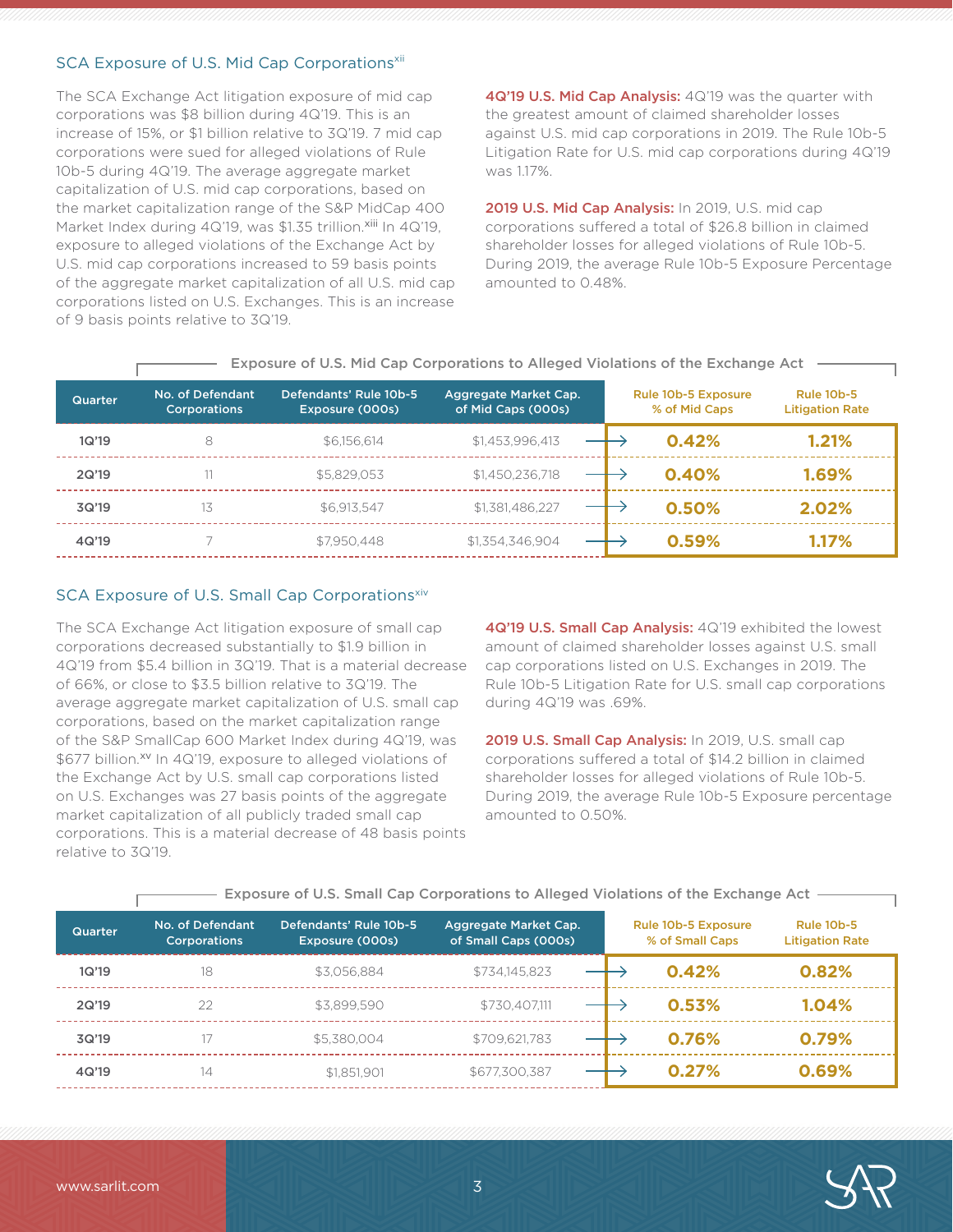### SCA Exposure of U.S. Mid Cap Corporations<sup>xii</sup>

The SCA Exchange Act litigation exposure of mid cap corporations was \$8 billion during 4Q'19. This is an increase of 15%, or \$1 billion relative to 3Q'19. 7 mid cap corporations were sued for alleged violations of Rule 10b-5 during 4Q'19. The average aggregate market capitalization of U.S. mid cap corporations, based on the market capitalization range of the S&P MidCap 400 Market Index during 4Q'19, was \$1.35 trillion.xiii In 4Q'19, exposure to alleged violations of the Exchange Act by U.S. mid cap corporations increased to 59 basis points of the aggregate market capitalization of all U.S. mid cap corporations listed on U.S. Exchanges. This is an increase of 9 basis points relative to 3Q'19.

4Q'19 U.S. Mid Cap Analysis: 4Q'19 was the quarter with the greatest amount of claimed shareholder losses against U.S. mid cap corporations in 2019. The Rule 10b-5 Litigation Rate for U.S. mid cap corporations during 4Q'19 was 1.17%.

2019 U.S. Mid Cap Analysis: In 2019, U.S. mid cap corporations suffered a total of \$26.8 billion in claimed shareholder losses for alleged violations of Rule 10b-5. During 2019, the average Rule 10b-5 Exposure Percentage amounted to 0.48%.

|         |                                         |                                           | Exposure of 0.5. Mid Cap Corporations to Alleged Violations of the Exchange Act |                                             |                                             |
|---------|-----------------------------------------|-------------------------------------------|---------------------------------------------------------------------------------|---------------------------------------------|---------------------------------------------|
| Quarter | No. of Defendant<br><b>Corporations</b> | Defendants' Rule 10b-5<br>Exposure (000s) | Aggregate Market Cap.<br>of Mid Caps (000s)                                     | <b>Rule 10b-5 Exposure</b><br>% of Mid Caps | <b>Rule 10b-5</b><br><b>Litigation Rate</b> |
| 1Q'19   | 8                                       | \$6,156,614                               | \$1,453,996,413                                                                 | 0.42%                                       | 1.21%                                       |
| 2Q'19   |                                         | \$5,829,053                               | \$1,450,236,718                                                                 | 0.40%                                       | 1.69%                                       |
| 3Q'19   | 13                                      | \$6.913.547                               | \$1,381,486,227                                                                 | 0.50%                                       | 2.02%                                       |
| 4Q'19   |                                         | \$7.950.448                               | \$1,354,346,904                                                                 | 0.59%                                       | 1.17%                                       |

## Exposure of U.S. Mid Cap Corporations to Alleged Violations of the Exchange Act

### SCA Exposure of U.S. Small Cap Corporationsxiv

The SCA Exchange Act litigation exposure of small cap corporations decreased substantially to \$1.9 billion in 4Q'19 from \$5.4 billion in 3Q'19. That is a material decrease of 66%, or close to \$3.5 billion relative to 3Q'19. The average aggregate market capitalization of U.S. small cap corporations, based on the market capitalization range of the S&P SmallCap 600 Market Index during 4Q'19, was \$677 billion.xv In 4Q'19, exposure to alleged violations of the Exchange Act by U.S. small cap corporations listed on U.S. Exchanges was 27 basis points of the aggregate market capitalization of all publicly traded small cap corporations. This is a material decrease of 48 basis points relative to 3Q'19.

4Q'19 U.S. Small Cap Analysis: 4Q'19 exhibited the lowest amount of claimed shareholder losses against U.S. small cap corporations listed on U.S. Exchanges in 2019. The Rule 10b-5 Litigation Rate for U.S. small cap corporations during 4Q'19 was .69%.

2019 U.S. Small Cap Analysis: In 2019, U.S. small cap corporations suffered a total of \$14.2 billion in claimed shareholder losses for alleged violations of Rule 10b-5. During 2019, the average Rule 10b-5 Exposure percentage amounted to 0.50%.

| <b>Quarter</b> | No. of Defendant<br><b>Corporations</b> | Defendants' Rule 10b-5<br>Exposure (000s) | Aggregate Market Cap.<br>of Small Caps (000s) | <b>Rule 10b-5 Exposure</b><br>% of Small Caps | <b>Rule 10b-5</b><br><b>Litigation Rate</b> |
|----------------|-----------------------------------------|-------------------------------------------|-----------------------------------------------|-----------------------------------------------|---------------------------------------------|
| 1Q'19          | 18                                      | \$3.056.884                               | \$734,145,823                                 | 0.42%                                         | 0.82%                                       |
| 2Q'19          | 22                                      | \$3,899,590                               | \$730.407.111                                 | 0.53%                                         | 1.04%                                       |
| 3Q'19          |                                         | \$5,380,004                               | \$709,621,783                                 | 0.76%                                         | 0.79%                                       |
| 4Q'19          | 14                                      | \$1,851,901                               | \$677,300,387                                 | 0.27%                                         | 0.69%                                       |

#### Exposure of U.S. Small Cap Corporations to Alleged Violations of the Exchange Act

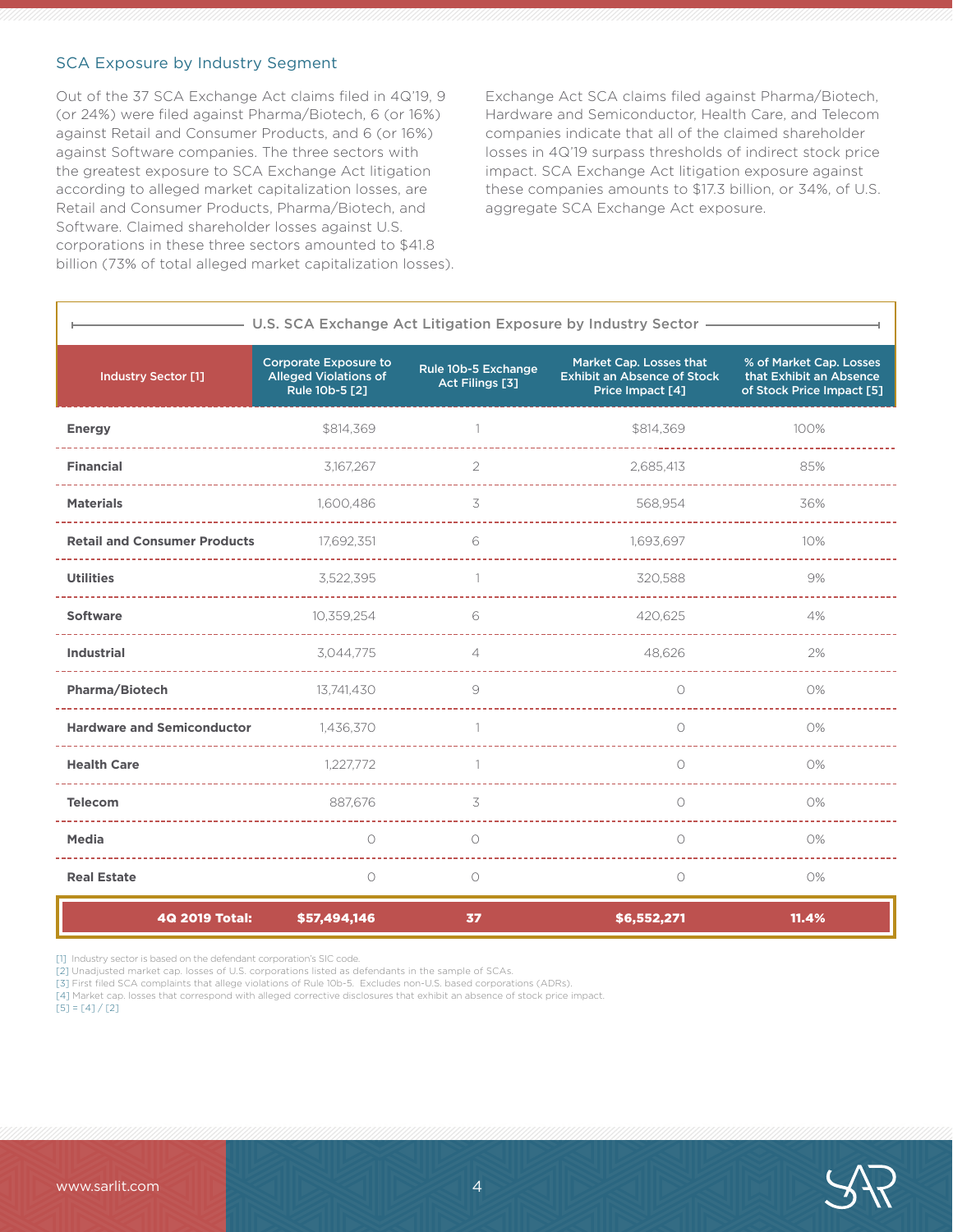#### SCA Exposure by Industry Segment

Out of the 37 SCA Exchange Act claims filed in 4Q'19, 9 (or 24%) were filed against Pharma/Biotech, 6 (or 16%) against Retail and Consumer Products, and 6 (or 16%) against Software companies. The three sectors with the greatest exposure to SCA Exchange Act litigation according to alleged market capitalization losses, are Retail and Consumer Products, Pharma/Biotech, and Software. Claimed shareholder losses against U.S. corporations in these three sectors amounted to \$41.8 billion (73% of total alleged market capitalization losses). Exchange Act SCA claims filed against Pharma/Biotech, Hardware and Semiconductor, Health Care, and Telecom companies indicate that all of the claimed shareholder losses in 4Q'19 surpass thresholds of indirect stock price impact. SCA Exchange Act litigation exposure against these companies amounts to \$17.3 billion, or 34%, of U.S. aggregate SCA Exchange Act exposure.

| U.S. SCA Exchange Act Litigation Exposure by Industry Sector . |                                                                                |                                        |                                                                                   |                                                                                 |  |  |
|----------------------------------------------------------------|--------------------------------------------------------------------------------|----------------------------------------|-----------------------------------------------------------------------------------|---------------------------------------------------------------------------------|--|--|
| <b>Industry Sector [1]</b>                                     | <b>Corporate Exposure to</b><br><b>Alleged Violations of</b><br>Rule 10b-5 [2] | Rule 10b-5 Exchange<br>Act Filings [3] | Market Cap. Losses that<br><b>Exhibit an Absence of Stock</b><br>Price Impact [4] | % of Market Cap. Losses<br>that Exhibit an Absence<br>of Stock Price Impact [5] |  |  |
| <b>Energy</b>                                                  | \$814,369                                                                      |                                        | \$814,369                                                                         | 100%                                                                            |  |  |
| <b>Financial</b>                                               | 3,167,267                                                                      | 2                                      | 2,685,413                                                                         | 85%                                                                             |  |  |
| <b>Materials</b>                                               | 1.600.486                                                                      | 3                                      | 568.954                                                                           | 36%                                                                             |  |  |
| <b>Retail and Consumer Products</b>                            | 17,692,351                                                                     | 6                                      | 1,693,697                                                                         | 10%                                                                             |  |  |
| <b>Utilities</b>                                               | 3,522,395                                                                      | $\overline{1}$                         | 320,588                                                                           | 9%                                                                              |  |  |
| <b>Software</b>                                                | 10,359,254                                                                     | 6                                      | 420,625                                                                           | 4%                                                                              |  |  |
| <b>Industrial</b>                                              | 3,044,775                                                                      | $\overline{4}$                         | 48,626                                                                            | 2%                                                                              |  |  |
| Pharma/Biotech                                                 | 13,741,430                                                                     | 9                                      | $\bigcirc$                                                                        | 0%                                                                              |  |  |
| <b>Hardware and Semiconductor</b>                              | 1,436,370                                                                      |                                        | $\bigcirc$                                                                        | 0%                                                                              |  |  |
| <b>Health Care</b>                                             | 1,227,772                                                                      | 1                                      | $\circ$                                                                           | 0%                                                                              |  |  |
| <b>Telecom</b>                                                 | 887.676                                                                        | 3                                      | $\bigcirc$                                                                        | 0%                                                                              |  |  |
| <b>Media</b>                                                   | $\bigcirc$                                                                     | $\bigcirc$                             | $\bigcirc$                                                                        | 0%                                                                              |  |  |
| <b>Real Estate</b>                                             | $\circ$                                                                        | $\circ$                                | $\circ$                                                                           | 0%                                                                              |  |  |

| 4Q 2019 Total: \$57,494,146 |  | \$6,552,271 | 11.4% |
|-----------------------------|--|-------------|-------|
|                             |  |             |       |

[1] Industry sector is based on the defendant corporation's SIC code.

[2] Unadjusted market cap. losses of U.S. corporations listed as defendants in the sample of SCAs.

[3] First filed SCA complaints that allege violations of Rule 10b-5. Excludes non-U.S. based corporations (ADRs).

[4] Market cap. losses that correspond with alleged corrective disclosures that exhibit an absence of stock price impact.

 $[5] = [4]/[2]$